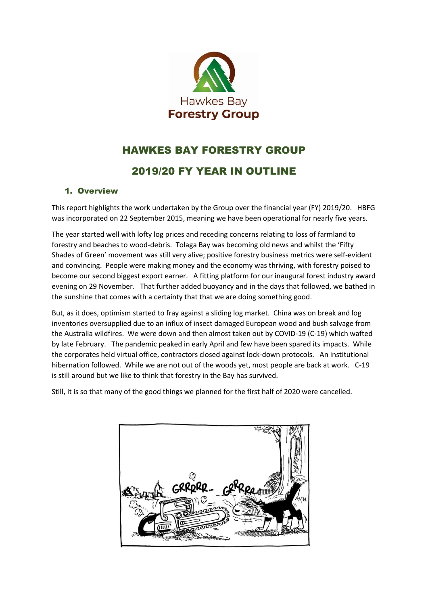

# HAWKES BAY FORESTRY GROUP

# 2019/20 FY YEAR IN OUTLINE

# 1. Overview

This report highlights the work undertaken by the Group over the financial year (FY) 2019/20. HBFG was incorporated on 22 September 2015, meaning we have been operational for nearly five years.

The year started well with lofty log prices and receding concerns relating to loss of farmland to forestry and beaches to wood-debris. Tolaga Bay was becoming old news and whilst the 'Fifty Shades of Green' movement was still very alive; positive forestry business metrics were self-evident and convincing. People were making money and the economy was thriving, with forestry poised to become our second biggest export earner. A fitting platform for our inaugural forest industry award evening on 29 November. That further added buoyancy and in the days that followed, we bathed in the sunshine that comes with a certainty that that we are doing something good.

But, as it does, optimism started to fray against a sliding log market. China was on break and log inventories oversupplied due to an influx of insect damaged European wood and bush salvage from the Australia wildfires. We were down and then almost taken out by COVID-19 (C-19) which wafted by late February. The pandemic peaked in early April and few have been spared its impacts. While the corporates held virtual office, contractors closed against lock-down protocols. An institutional hibernation followed. While we are not out of the woods yet, most people are back at work. C-19 is still around but we like to think that forestry in the Bay has survived.

Still, it is so that many of the good things we planned for the first half of 2020 were cancelled.

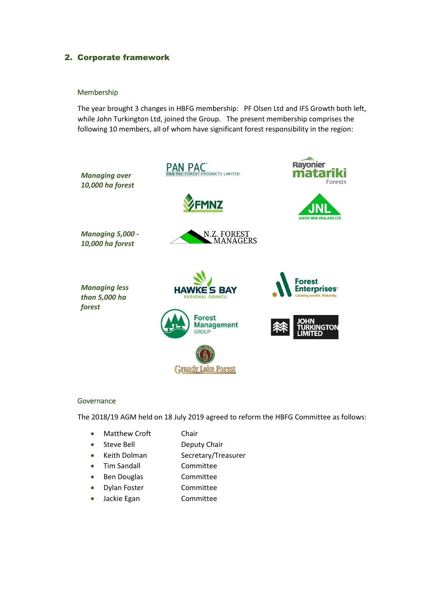# 2. Corporate framework

#### Membership

The year brought 3 changes in HBFG membership: PF Olsen Ltd and IFS Growth both left, while John Turkington Ltd, joined the Group. The present membership comprises the following 10 members, all of whom have significant forest responsibility in the region:



#### **Governance**

The 2018/19 AGM held on 18 July 2019 agreed to reform the HBFG Committee as follows:

- Matthew Croft Chair
- Steve Bell Deputy Chair
- Keith Dolman Secretary/Treasurer
- Tim Sandall **Committee**
- Ben Douglas Committee
- Dylan Foster Committee
- Jackie Egan Committee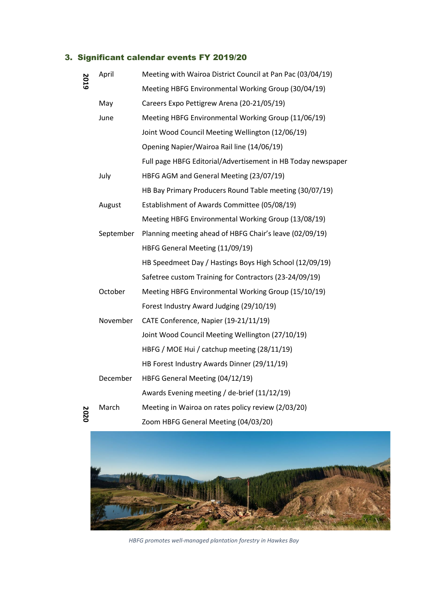# 3. Significant calendar events FY 2019/20

| 2019 | April     | Meeting with Wairoa District Council at Pan Pac (03/04/19)   |
|------|-----------|--------------------------------------------------------------|
|      |           | Meeting HBFG Environmental Working Group (30/04/19)          |
|      | May       | Careers Expo Pettigrew Arena (20-21/05/19)                   |
|      | June      | Meeting HBFG Environmental Working Group (11/06/19)          |
|      |           | Joint Wood Council Meeting Wellington (12/06/19)             |
|      |           | Opening Napier/Wairoa Rail line (14/06/19)                   |
|      |           | Full page HBFG Editorial/Advertisement in HB Today newspaper |
|      | July      | HBFG AGM and General Meeting (23/07/19)                      |
|      |           | HB Bay Primary Producers Round Table meeting (30/07/19)      |
|      | August    | Establishment of Awards Committee (05/08/19)                 |
|      |           | Meeting HBFG Environmental Working Group (13/08/19)          |
|      | September | Planning meeting ahead of HBFG Chair's leave (02/09/19)      |
|      |           | HBFG General Meeting (11/09/19)                              |
|      |           | HB Speedmeet Day / Hastings Boys High School (12/09/19)      |
|      |           | Safetree custom Training for Contractors (23-24/09/19)       |
|      | October   | Meeting HBFG Environmental Working Group (15/10/19)          |
|      |           | Forest Industry Award Judging (29/10/19)                     |
|      | November  | CATE Conference, Napier (19-21/11/19)                        |
|      |           | Joint Wood Council Meeting Wellington (27/10/19)             |
|      |           | HBFG / MOE Hui / catchup meeting (28/11/19)                  |
|      |           | HB Forest Industry Awards Dinner (29/11/19)                  |
|      | December  | HBFG General Meeting (04/12/19)                              |
|      |           | Awards Evening meeting / de-brief (11/12/19)                 |
| 2020 | March     | Meeting in Wairoa on rates policy review (2/03/20)           |
|      |           | Zoom HBFG General Meeting (04/03/20)                         |



*HBFG promotes well-managed plantation forestry in Hawkes Bay*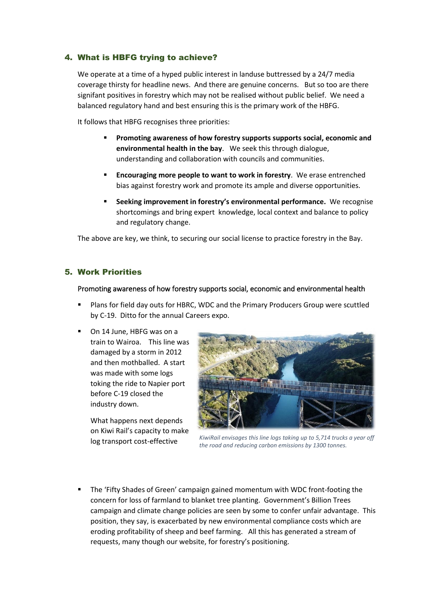# 4. What is HBFG trying to achieve?

We operate at a time of a hyped public interest in landuse buttressed by a 24/7 media coverage thirsty for headline news. And there are genuine concerns. But so too are there signifant positives in forestry which may not be realised without public belief. We need a balanced regulatory hand and best ensuring this is the primary work of the HBFG.

It follows that HBFG recognises three priorities:

- Promoting awareness of how forestry supports supports social, economic and **environmental health in the bay**. We seek this through dialogue, understanding and collaboration with councils and communities.
- **Encouraging more people to want to work in forestry**. We erase entrenched bias against forestry work and promote its ample and diverse opportunities.
- **Seeking improvement in forestry's environmental performance.** We recognise shortcomings and bring expert knowledge, local context and balance to policy and regulatory change.

The above are key, we think, to securing our social license to practice forestry in the Bay.

### 5. Work Priorities

#### Promoting awareness of how forestry supports social, economic and environmental health

- Plans for field day outs for HBRC, WDC and the Primary Producers Group were scuttled by C-19. Ditto for the annual Careers expo.
- On 14 June, HBFG was on a train to Wairoa. This line was damaged by a storm in 2012 and then mothballed. A start was made with some logs toking the ride to Napier port before C-19 closed the industry down.

What happens next depends on Kiwi Rail's capacity to make log transport cost-effective



*KiwiRail envisages this line logs taking up to 5,714 trucks a year off the road and reducing carbon emissions by 1300 tonnes.*

The 'Fifty Shades of Green' campaign gained momentum with WDC front-footing the concern for loss of farmland to blanket tree planting. Government's Billion Trees campaign and climate change policies are seen by some to confer unfair advantage. This position, they say, is exacerbated by new environmental compliance costs which are eroding profitability of sheep and beef farming. All this has generated a stream of requests, many though our website, for forestry's positioning.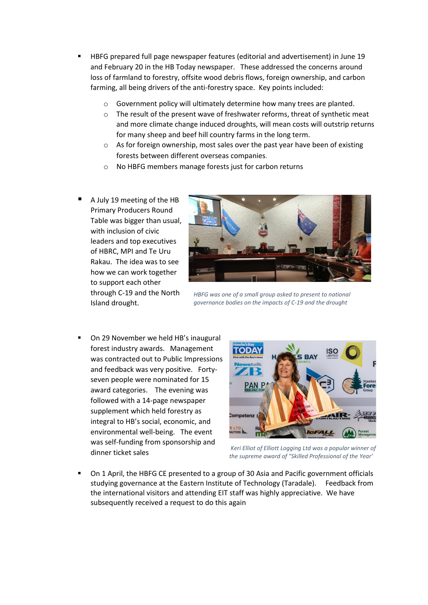- HBFG prepared full page newspaper features (editorial and advertisement) in June 19 and February 20 in the HB Today newspaper. These addressed the concerns around loss of farmland to forestry, offsite wood debris flows, foreign ownership, and carbon farming, all being drivers of the anti-forestry space. Key points included:
	- o Government policy will ultimately determine how many trees are planted.
	- o The result of the present wave of freshwater reforms, threat of synthetic meat and more climate change induced droughts, will mean costs will outstrip returns for many sheep and beef hill country farms in the long term.
	- o As for foreign ownership, most sales over the past year have been of existing forests between different overseas companies.
	- o No HBFG members manage forests just for carbon returns
- A July 19 meeting of the HB Primary Producers Round Table was bigger than usual, with inclusion of civic leaders and top executives of HBRC, MPI and Te Uru Rakau. The idea was to see how we can work together to support each other through C-19 and the North Island drought.



*HBFG was one of a small group asked to present to national governance bodies on the impacts of C-19 and the drought*

On 29 November we held HB's inaugural forest industry awards. Management was contracted out to Public Impressions and feedback was very positive. Fortyseven people were nominated for 15 award categories. The evening was followed with a 14-page newspaper supplement which held forestry as integral to HB's social, economic, and environmental well-being. The event was self-funding from sponsorship and dinner ticket sales



*Keri Elliot of Elliott Logging Ltd was a popular winner of the supreme award of "Skilled Professional of the Year'*

On 1 April, the HBFG CE presented to a group of 30 Asia and Pacific government officials studying governance at the Eastern Institute of Technology (Taradale). Feedback from the international visitors and attending EIT staff was highly appreciative. We have subsequently received a request to do this again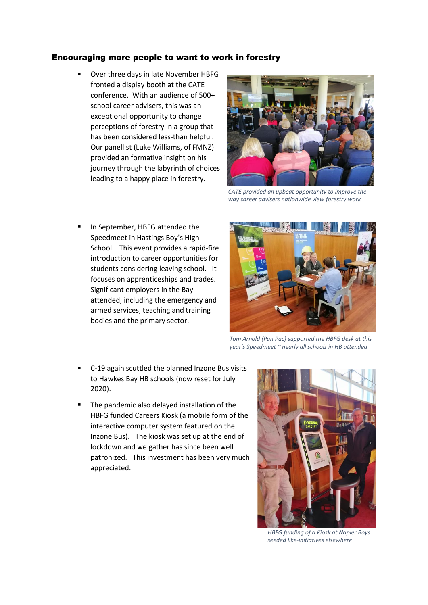#### Encouraging more people to want to work in forestry

Over three days in late November HBFG fronted a display booth at the CATE conference. With an audience of 500+ school career advisers, this was an exceptional opportunity to change perceptions of forestry in a group that has been considered less-than helpful. Our panellist (Luke Williams, of FMNZ) provided an formative insight on his journey through the labyrinth of choices leading to a happy place in forestry.



*CATE provided an upbeat opportunity to improve the way career advisers nationwide view forestry work*

In September, HBFG attended the Speedmeet in Hastings Boy's High School. This event provides a rapid-fire introduction to career opportunities for students considering leaving school. It focuses on apprenticeships and trades. Significant employers in the Bay attended, including the emergency and armed services, teaching and training bodies and the primary sector.



*Tom Arnold (Pan Pac) supported the HBFG desk at this year's Speedmeet ~ nearly all schools in HB attended*

- C-19 again scuttled the planned Inzone Bus visits to Hawkes Bay HB schools (now reset for July 2020).
- The pandemic also delayed installation of the HBFG funded Careers Kiosk (a mobile form of the interactive computer system featured on the Inzone Bus). The kiosk was set up at the end of lockdown and we gather has since been well patronized. This investment has been very much appreciated.



*HBFG funding of a Kiosk at Napier Boys seeded like-initiatives elsewhere*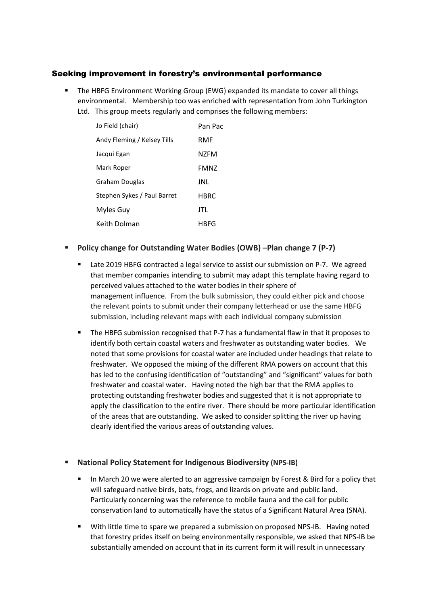## Seeking improvement in forestry's environmental performance

**• The HBFG Environment Working Group (EWG) expanded its mandate to cover all things** environmental. Membership too was enriched with representation from John Turkington Ltd. This group meets regularly and comprises the following members:

| Jo Field (chair)            | Pan Pac     |
|-----------------------------|-------------|
| Andy Fleming / Kelsey Tills | RMF         |
| Jacqui Egan                 | N7FM        |
| Mark Roper                  | <b>FMNZ</b> |
| Graham Douglas              | JNL         |
| Stephen Sykes / Paul Barret | <b>HBRC</b> |
| Myles Guy                   | JTL         |
| Keith Dolman                | HRFG        |

## ▪ **Policy change for Outstanding Water Bodies (OWB) –Plan change 7 (P-7)**

- Late 2019 HBFG contracted a legal service to assist our submission on P-7. We agreed that member companies intending to submit may adapt this template having regard to perceived values attached to the water bodies in their sphere of management influence. From the bulk submission, they could either pick and choose the relevant points to submit under their company letterhead or use the same HBFG submission, including relevant maps with each individual company submission
- The HBFG submission recognised that P-7 has a fundamental flaw in that it proposes to identify both certain coastal waters and freshwater as outstanding water bodies. We noted that some provisions for coastal water are included under headings that relate to freshwater. We opposed the mixing of the different RMA powers on account that this has led to the confusing identification of "outstanding" and "significant" values for both freshwater and coastal water. Having noted the high bar that the RMA applies to protecting outstanding freshwater bodies and suggested that it is not appropriate to apply the classification to the entire river. There should be more particular identification of the areas that are outstanding. We asked to consider splitting the river up having clearly identified the various areas of outstanding values.

### ▪ **National Policy Statement for Indigenous Biodiversity (NPS-IB)**

- In March 20 we were alerted to an aggressive campaign by Forest & Bird for a policy that will safeguard native birds, bats, frogs, and lizards on private and public land. Particularly concerning was the reference to mobile fauna and the call for public conservation land to automatically have the status of a Significant Natural Area (SNA).
- With little time to spare we prepared a submission on proposed NPS-IB. Having noted that forestry prides itself on being environmentally responsible, we asked that NPS-IB be substantially amended on account that in its current form it will result in unnecessary